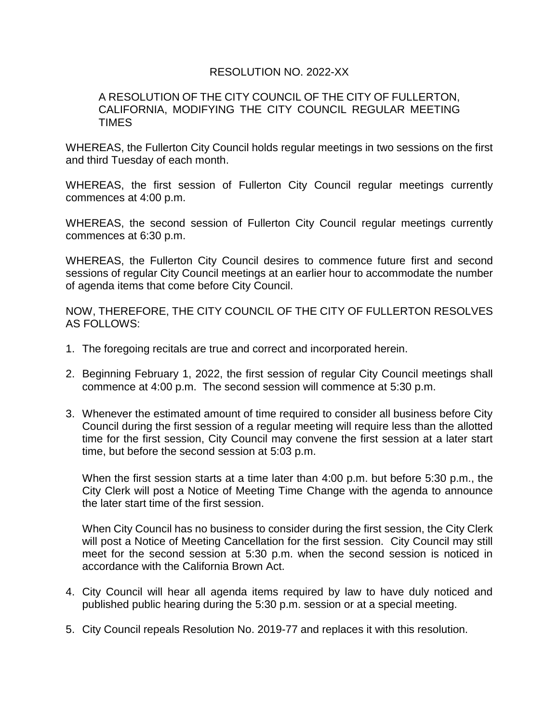## RESOLUTION NO. 2022-XX

## A RESOLUTION OF THE CITY COUNCIL OF THE CITY OF FULLERTON, CALIFORNIA, MODIFYING THE CITY COUNCIL REGULAR MEETING TIMES

WHEREAS, the Fullerton City Council holds regular meetings in two sessions on the first and third Tuesday of each month.

WHEREAS, the first session of Fullerton City Council regular meetings currently commences at 4:00 p.m.

WHEREAS, the second session of Fullerton City Council regular meetings currently commences at 6:30 p.m.

WHEREAS, the Fullerton City Council desires to commence future first and second sessions of regular City Council meetings at an earlier hour to accommodate the number of agenda items that come before City Council.

NOW, THEREFORE, THE CITY COUNCIL OF THE CITY OF FULLERTON RESOLVES AS FOLLOWS:

- 1. The foregoing recitals are true and correct and incorporated herein.
- 2. Beginning February 1, 2022, the first session of regular City Council meetings shall commence at 4:00 p.m. The second session will commence at 5:30 p.m.
- 3. Whenever the estimated amount of time required to consider all business before City Council during the first session of a regular meeting will require less than the allotted time for the first session, City Council may convene the first session at a later start time, but before the second session at 5:03 p.m.

When the first session starts at a time later than 4:00 p.m. but before 5:30 p.m., the City Clerk will post a Notice of Meeting Time Change with the agenda to announce the later start time of the first session.

When City Council has no business to consider during the first session, the City Clerk will post a Notice of Meeting Cancellation for the first session. City Council may still meet for the second session at 5:30 p.m. when the second session is noticed in accordance with the California Brown Act.

- 4. City Council will hear all agenda items required by law to have duly noticed and published public hearing during the 5:30 p.m. session or at a special meeting.
- 5. City Council repeals Resolution No. 2019-77 and replaces it with this resolution.